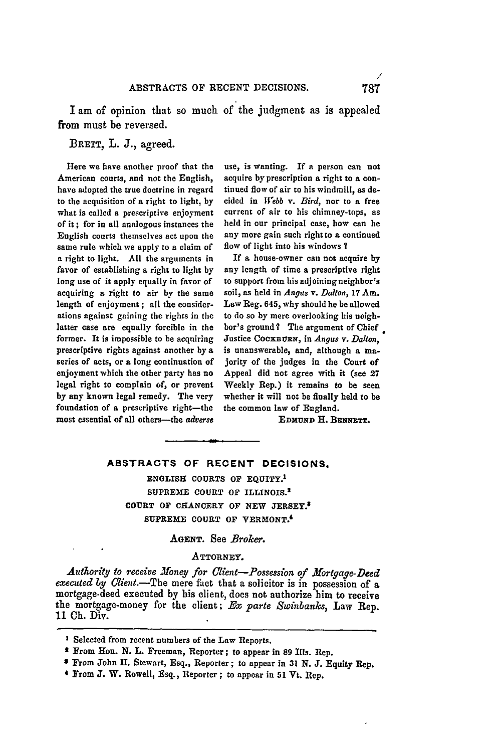I am of opinion that so much of the judgment as is appealed from must be reversed.

BRETT, L. **J.,** agreed.

Here we have another proof that the American courts, and not the English, have adopted the true doctrine in regard to the acquisition of a right to light, **by** what is called a prescriptive enjoyment of it **;** for in all analogous instances the English courts themselves act upon the same rule which we apply to a claim of **a** right to light. **All** the arguments in favor of establishing a right to light **by** long use of it apply equally in favor of acquiring a right to air **by** the same length of enjoyment **;** all the considerations against gaining the rights in the latter case are equally forcible in the former. It is impossible to be acquiring prescriptive rights against another **by** a series of acts, or a long continuation of enjoyment which the other party has no legal right to complain of, or prevent **by** any known legal remedy. The very foundation of a prescriptive right-the most essential of all others-the *adverse* use, is wanting. **If** a person can not acquire **by** prescription a right to a continued flow of air to his windmill, as decided in *lI'ebb* v. *Bird,* nor to a free current of air to his chimney-tops, as held in our principal case, how can he any more gain such right to a continued flow of light into his windows ?

If a house-owner can not acquire **by** any length of time a prescriptive right to support from his adjoining neighbor's soil, as held in *Angus v. Dalton,* **17** Am. Law Reg. **645,** why should he be allowed to do so **by** mere overlooking his neighbor's ground? The argument of Chief Justice **CocxBEtRN,** in *Angus v.* Dalton, is unanswerable, and, although a majority of the judges in the Court of Appeal did not agree with it (see **27** Weekly Rep.) it remains to be seen whether it will not be finally held to be the common law of England.

EDHUND H. BENNETT.

## **ABSTRACTS OF RECENT DECISIONS.**

**ENGLISH COURTS** OF EQUITY.1 **SUPREME COURT** OF ILLINOIS.2 **COURT OF CHANCERY OF NEW JERSEY.<sup>3</sup> SUPREME COURT** OF VERMONT.4

## **AGENT.** See *Broker.*

## ATTORNEY.

*Authority to receive Mfoney for Client-Possession of Mortgage-Deed executed by Client.--The* mere fact that a solicitor is in possession of a mortgage-deed executed **by** his client, does not authorize him to receive the mortgage-money for the client; *Ex parte Swinbanks,* Law Rep. 11 **Ch.** Div.

**<sup>3</sup>** Selected from recent numbers of the Law Reports.

<sup>\*</sup> From Hon. **N.** L. Freeman, Reporter; to appear in **89** Ills. Rep.

<sup>\*</sup> From John H. Stewart, Esq., Reporter; to appear in **31 N. J.** Equity Rep.

**<sup>4</sup>** From **J.** W. Rowell, Esq., Reporter; to appear in **51** Vt. Rep.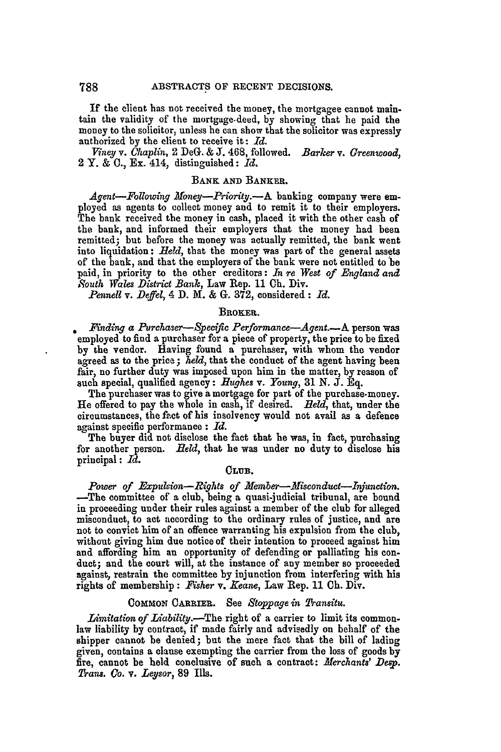If the client has not received the money, the mortgagee cannot maintain the validity of the mortgage-deed, **by** showing that he paid the money to the solicitor, unless he can show that the solicitor was expressly authorized **by** the client to receive **it:** *Id.*

*Viney* v. *Chaplin,* 2 DeG. & *J.* 468, followed. *Barker v. Greenwood,* 2Y. **& C.,** Ex. 414, distinguished: *Id.*

## **BANK AND BANKER.**

*Agent-Following Moneq-Priority.-A* banking company were employed as agents to collect money and to remit it to their employers. The bank received the money in cash, placed it with the other cash of the bank, and informed their employers that the money had been remitted; but before the money was actually remitted, the bank went into liquidation: *Held,* that the money was part of the general assets of the bank, and that the employers of the bank were not entitled to *'be* paid, in priority to the other creditors: *In re West of England and South Wales District Bank,* Law Rep. 11 Oh. Div.

*Pennell* v. *Deffel,* 4 D. M. **& G. 372,** considered **:** *Id.*

# **BROKER.**

*Finding a Purchaser-Specific Performance-Agent.--A person was* employed to **find** a **purchaser for a piece** of **property, the price to** be fixed **by the vendor.** Having **found a purchaser,** with **whom the** vendor agreed **as to** the **price;** *held,* **that the conduct of the agent having** been fair, no further duty was imposed upon him in the matter, by reason of such special, qualified agency: Hughes v. Young, 31 N. J. Eq.<br>The purchaser was to give a mortgage for part of the purchase-money.

He offered to pay the whole in cash, if desired. Held, that, under the circumstances, the fact of his insolvency would not avail as a defence **against specific performance : Id.** 

The buyer did not disclose the fact that he was, in fact, purchasing for another person. *Held*, that he was under no duty to disclose his principal: *Id.* 

## Сылв.

Power of Expulsion-Rights of Member-Misconduct-Injunction. -The committee of a club, being a quasi-judicial tribunal, are bound in proceeding under their rules against a member of the club for alleged misconduct, to act according to the ordinary rules of justice, and are not to convict him of an offence warranting his expulsion from the club, without giving him due notice of their intention to proceed against him and affording him an opportunity of defending or palliating his conduct; and the court will, at the instance of any member so proceeded against, restrain the committee **by** injunction from interfering with his rights of membership: *Fisher v. Keane,* Law Rep. 11 **Ch.** Div.

# CommON **CARRIER.** See *Stoppage in Transitu.*

*Limitation of Liability.-The* right of a carrier to limit its common. law liability by contract, if made fairly and advisedly on behalf of the shipper cannot be denied; but the mere fact that the bill of lading given, contains a clause exempting the carrier from the loss of goods by fire, cannot be held conclusive of such a contract: *Merchants' Desp. Trans. Go.* v. *Leysor,* **89** Ills.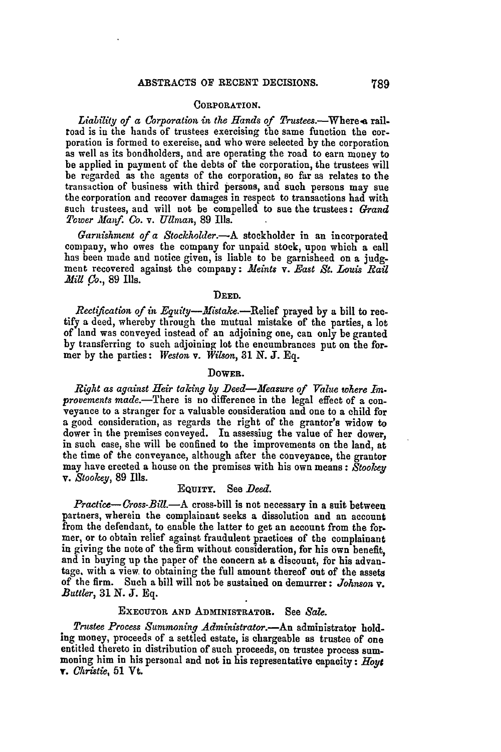# CORPORATION.

Liability of a Corporation in the Hands of Trustees.—Where a railroad is in the hands of trustees exercising the same function the cor-<br>poration is formed to exercise, and who were selected by the corporation as well as its bondholders, and are operating the road to earn money to be applied in payment of the debts of the corporation, the trustees will be regarded as the agents of the corporation, so far as relates to the transaction of business with third persons, and such persons may sue the corporation and recover damages in respect to transactions had with such trustees, and will not be compelled to sue the trustees: *Grand Tower Man~f. Co.* v. *Ullrman,* 89 Ills.

Garnishment of a Stockholder.-A stockholder in an incorporated company, who owes the company for unpaid stock, upon which a call has been made and notice given, is liable to be garnisheed on a judgment recovered against the company: *Meints v. East St. Louis Rail Iill Co.,* 89 Ills.

#### **DEED.**

*Rectification of in Equity-Mistake.-Relief* prayed **by** a bill to rec- tify a deed, whereby through the mutual mistake of the parties, a lot of land was conveyed instead of an adjoining one, can only be granted by transferring to such adjoining lot the encumbrances put on the for- mer **by** the parties: *Weston v. Wilson,* **31** *N.* **J. Eq.**

#### **DOWER.**

*Right as against Heir taking by Deed-Measure of Value where Improvements* made.-There is no difference in the legal effect of a con- veyance to a stranger for a valuable consideration and one to a child for a good consideration, as regards the right of the grantor's widow to dower in the premises conveyed. In assessing the value of her dower, in such case, she will be confined to the improvements on the land, at the time of the conveyance, although after the conveyance, the grantor may have erected a house on the premises with his own means: *Stookey v. Stookey,* 89 Ills. **EQUITY. See** *Deed.*

*Practice-Cross-Bill.-A* cross-bill is not necessary in a suit between partners, wherein the complainant seeks a dissolution and an account from the defendant, to enable the latter to get an account from the for. mer, or to obtain relief against fraudulent practices of the complainant in giving the note of the firm without consideration, for his own benefit, and in buying up the paper of the concern at a discount, for his advan**tage,** with a view. to obtaining the full amount thereof out of the assets of the firm. Such a bill will not be sustained on demurrer: *Johnson v. Buttler,* 31 *N.* **J. Eq.**

# **EXECUTOR AND ADMINISTRATOR.** See *Sale.*

*Trustee Process Summoning Administrator.-An* administrator holding money, proceeds of a settled estate, is chargeable as trustee of one entitled thereto in distribution of such proceeds, on trustee process sum-<br>moning him in his personal and not in his representative capacity: Hoyt *T. Christie,* **51** Vt.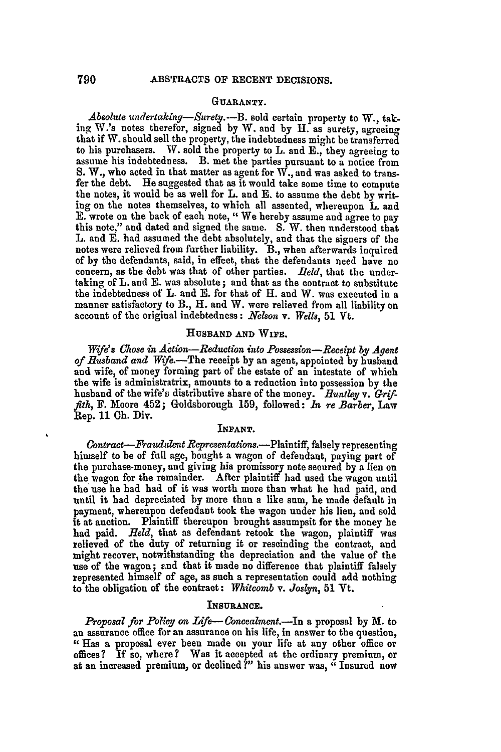### **GUARANTY.**

Absolute undertaking-Surety.-B. sold certain property to W., taking W.'s notes therefor, signed **by** W. and by H. as surety, agreeing that if W. should sell the property, the indebtedness might be transferred to his purchasers. W. sold the property to L. and **E.,** they agreeing to assume his indebtedness. B. met the parties pursuant to a notice from **S.** W., who acted in that matter as agent for W., and was asked to transfer the debt. He suggested that as it would take some time to compute the notes, it would be as well for **L.** and **E.** to assume the debt by writing on the notes themselves, to which all assented, whereupon L. and E. wrote on the back of each note, " We hereby assume and agree to pay this note," and dated and signed the same. **S.** W. then understood that L. and E. had assumed the debt absolutely, and that the signers of the notes were relieved from further liability. B., when afterwards inquired of by the defendants, said, in effect, that the defendants need have no concern, as the debt was that of other parties. *Held,* that the undertaking of L. and **E.** was absolute; and that as the contract to substitute the indebtedness of **]L.** and **E.** for that of H. and W. was executed in a manner satisfactory to B., H. and W. were relieved from all liability on account of the original indebtedness: *Nelson v. Wells,* **51** Vt.

# **HUSBAND AND WIFE.**

*Wife's Chose in Action-Reduction into Possession-Receipt by Agent of Husband and Wife.-The* receipt by an agent, appointed **by** husband and wife, of money forming part of the estate of an intestate of which the wife is administratrix, amounts to a reduction into possession by the husband of the wife's distributive share of the money. *Huntley v. Griffith,* F. Moore 452; Goldsborough **159,** followed: *In re Barber,* Law Rep. **11 Oh.** Div.

### **INPANT.**

*Contract-Fraudulent Representations.-Plaintiff,* falsely representing himself to be of full age, bought a wagon of defendant, paying part of the purchase-money, and giving his promissory note secured by a lien on the wagon for the remainder. After plaintiff had used the wagon until the use he had had of it was worth more than what he had paid, and until it had depreciated by more than a like sum, he made default in payment, whereupon defendant took the wagon under his lien, and sold it at auction. Plaintiff thereupon brought assumpsit for the money he had paid. *Held*, that as defendant retook the wagon, plaintiff was relieved of the duty of returning it or rescinding the contract, and might recover, notwithstanding the depreciation and the value of the use of the wagon; **and** that it made no difference that plaintiff falsely represented himself of age, as such a representation could add nothing to the obligation of the contract: *Whitcomb* v. *Joslyn,* **51** Vt.

### **INSURANCE.**

*Proposal for Policy on* Life-Concealment.-In a proposal **by** M. to an assurance office for an assurance on his life, in answer to the question, " Has a proposal ever been made on your life at any other office or offices? If so, where? Was it accepted at the ordinary premium, or at an increased premium, or declined ?" his answer was, "Insured now

 $\ddot{\phantom{0}}$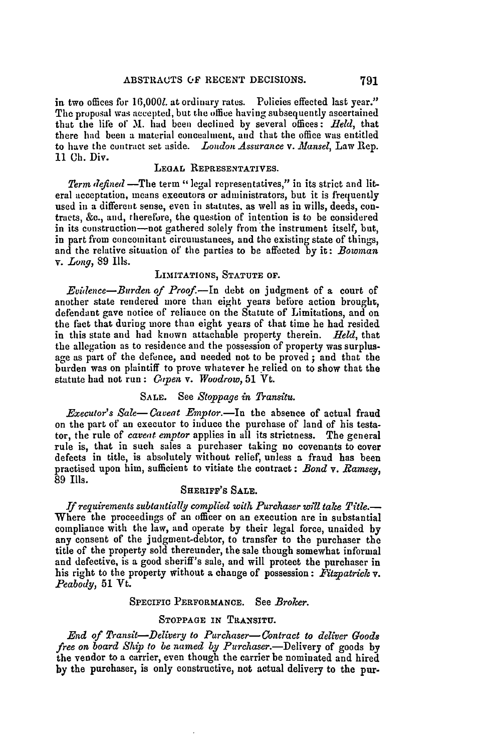in two offices for 16,000l. at ordinary rates. Policies effected last year." The proposal was accepted, but the office having subsequently ascertained that the life of M. had been declined by several offices: *Held*, that there had been a material concealment, and that the office was entitled to have the contract set aside. *London Assurance v. Mansel,* Law Rep. 11 **Ch.** Div.

# **LEGAL REPRESENTATIVES.**

*Term defined* -The term "legal representatives," in its strict and literal acceptation, means executors or administrators, but it is frequently used in a different sense, even in statutes, as well as in wills, deeds, contracts, **&c.,** and, therefore, the question of intention is to be considered in its construction---not gathered solely from the instrument itself, but, in part from concomitant circumstances, and the existing state of things, and the relative situation of the parties to be affected by it: *Bowman v. Long,* 89 Ills.

## LI.MITATIONS, **STATUTE OF.**

*Evidence-Burden, of Proof.-In* debt on judgment of a court of another state rendered more than eight years before action brought, defendant gave notice of reliance on the Statute of Limitations, and on the fact that during more than eight years of that time he had resided in this state and had known attachable property therein. *Held,* that the allegation as to residence and the possession of property was surplusage as part of the defence, and needed not to be proved **;** and that the burden was on plaintiff to prove whatever he relied on to show that the statute had not run: *Capen v. Woodrow*, 51 Vt.

# SALE. See *Stoppage in Transitu.*

*Executor's Sale- Caveat Emptor.-In* the absence of actual fraud on the part of an executor to induce the purchase of land of his testator, the rule of *caveat emptor* applies in all its strictness. The general rule is, that in such sales a purchaser taking no covenants to cover defects in title, is absolutely without relief, unless a fraud has been practised upon him, sufficient to vitiate the contract: *Bond v. Ramsey,* 89 Ills.

# **SHERIFF'S SALE.**

*f requirements subtantially complied with Purchaser will take Title.-* Where the proceedings of an officer on an execution are in substantial compliance with the law, and operate by their legal force, unaided by any consent of the judgment-debtor, to transfer to the purchaser the title of the property sold thereunder, the sale though somewhat informal and defective, is a good sheriff's sale, and will protect the purchaser in his right to the property without a change of possession: *Fitzpatrick* v. *Peabody,* 51 Vt.

# SPECIFIC PERFORMANCE. See *Broker.*

# **STOPPAGE IN TRANSITU.**

*End of Transit-Delivery to Purchaser- Contract to deliver Good8 free on board Ship to be named by Purchaser.*—Delivery of goods by the vendor to a carrier, even though the carrier be nominated and hired **by** the purchaser, is only constructive, not actual delivery to the **pur-**